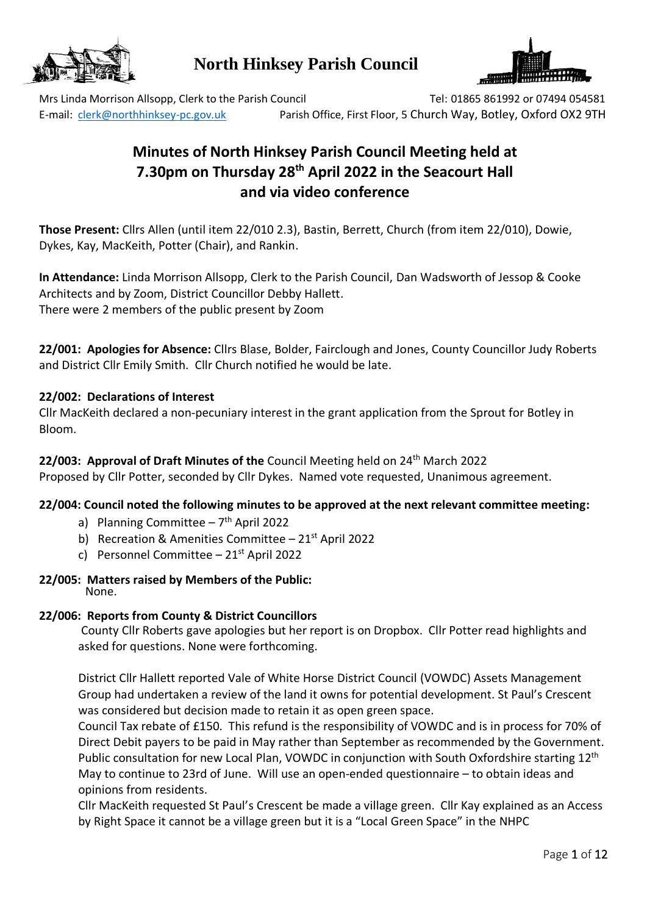

## **North Hinksey Parish Council**



Mrs Linda Morrison Allsopp, Clerk to the Parish Council Tel: 01865 861992 or 07494 054581 E-mail: [clerk@northhinksey-pc.gov.uk](mailto:clerk@northhinksey-pc.gov.uk) Parish Office, First Floor, 5 Church Way, Botley, Oxford OX2 9TH

# **Minutes of North Hinksey Parish Council Meeting held at 7.30pm on Thursday 28 th April 2022 in the Seacourt Hall and via video conference**

**Those Present:** Cllrs Allen (until item 22/010 2.3), Bastin, Berrett, Church (from item 22/010), Dowie, Dykes, Kay, MacKeith, Potter (Chair), and Rankin.

**In Attendance:** Linda Morrison Allsopp, Clerk to the Parish Council, Dan Wadsworth of Jessop & Cooke Architects and by Zoom, District Councillor Debby Hallett. There were 2 members of the public present by Zoom

**22/001: Apologies for Absence:** Cllrs Blase, Bolder, Fairclough and Jones, County Councillor Judy Roberts and District Cllr Emily Smith. Cllr Church notified he would be late.

## **22/002: Declarations of Interest**

Cllr MacKeith declared a non-pecuniary interest in the grant application from the Sprout for Botley in Bloom.

## 22/003: Approval of Draft Minutes of the Council Meeting held on 24<sup>th</sup> March 2022

Proposed by Cllr Potter, seconded by Cllr Dykes. Named vote requested, Unanimous agreement.

## **22/004: Council noted the following minutes to be approved at the next relevant committee meeting:**

- a) Planning Committee 7<sup>th</sup> April 2022
- b) Recreation & Amenities Committee  $-21^{st}$  April 2022
- c) Personnel Committee 21st April 2022

#### **22/005: Matters raised by Members of the Public:**  None.

## **22/006: Reports from County & District Councillors**

County Cllr Roberts gave apologies but her report is on Dropbox. Cllr Potter read highlights and asked for questions. None were forthcoming.

District Cllr Hallett reported Vale of White Horse District Council (VOWDC) Assets Management Group had undertaken a review of the land it owns for potential development. St Paul's Crescent was considered but decision made to retain it as open green space.

Council Tax rebate of £150. This refund is the responsibility of VOWDC and is in process for 70% of Direct Debit payers to be paid in May rather than September as recommended by the Government. Public consultation for new Local Plan, VOWDC in conjunction with South Oxfordshire starting 12<sup>th</sup> May to continue to 23rd of June. Will use an open-ended questionnaire – to obtain ideas and opinions from residents.

Cllr MacKeith requested St Paul's Crescent be made a village green. Cllr Kay explained as an Access by Right Space it cannot be a village green but it is a "Local Green Space" in the NHPC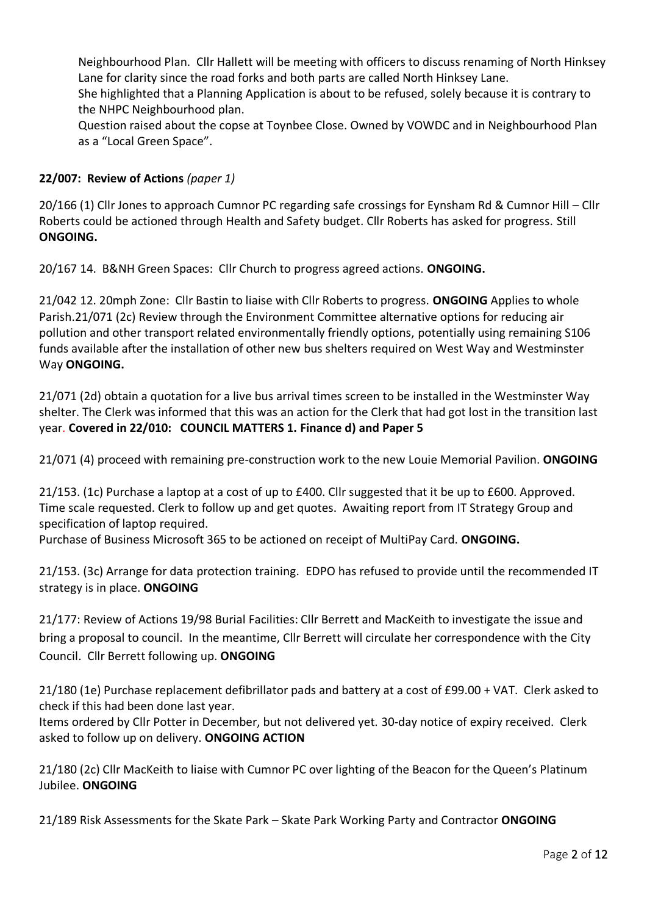Neighbourhood Plan. Cllr Hallett will be meeting with officers to discuss renaming of North Hinksey Lane for clarity since the road forks and both parts are called North Hinksey Lane. She highlighted that a Planning Application is about to be refused, solely because it is contrary to the NHPC Neighbourhood plan.

Question raised about the copse at Toynbee Close. Owned by VOWDC and in Neighbourhood Plan as a "Local Green Space".

## **22/007: Review of Actions** *(paper 1)*

20/166 (1) Cllr Jones to approach Cumnor PC regarding safe crossings for Eynsham Rd & Cumnor Hill – Cllr Roberts could be actioned through Health and Safety budget. Cllr Roberts has asked for progress. Still **ONGOING.**

20/167 14. B&NH Green Spaces: Cllr Church to progress agreed actions. **ONGOING.**

21/042 12. 20mph Zone: Cllr Bastin to liaise with Cllr Roberts to progress. **ONGOING** Applies to whole Parish.21/071 (2c) Review through the Environment Committee alternative options for reducing air pollution and other transport related environmentally friendly options, potentially using remaining S106 funds available after the installation of other new bus shelters required on West Way and Westminster Way **ONGOING.**

21/071 (2d) obtain a quotation for a live bus arrival times screen to be installed in the Westminster Way shelter. The Clerk was informed that this was an action for the Clerk that had got lost in the transition last year. **Covered in 22/010: COUNCIL MATTERS 1. Finance d) and Paper 5** 

21/071 (4) proceed with remaining pre-construction work to the new Louie Memorial Pavilion. **ONGOING**

21/153. (1c) Purchase a laptop at a cost of up to £400. Cllr suggested that it be up to £600. Approved. Time scale requested. Clerk to follow up and get quotes. Awaiting report from IT Strategy Group and specification of laptop required.

Purchase of Business Microsoft 365 to be actioned on receipt of MultiPay Card. **ONGOING.**

21/153. (3c) Arrange for data protection training. EDPO has refused to provide until the recommended IT strategy is in place. **ONGOING**

21/177: Review of Actions 19/98 Burial Facilities: Cllr Berrett and MacKeith to investigate the issue and bring a proposal to council. In the meantime, Cllr Berrett will circulate her correspondence with the City Council. Cllr Berrett following up. **ONGOING**

21/180 (1e) Purchase replacement defibrillator pads and battery at a cost of £99.00 + VAT. Clerk asked to check if this had been done last year.

Items ordered by Cllr Potter in December, but not delivered yet. 30-day notice of expiry received. Clerk asked to follow up on delivery. **ONGOING ACTION**

21/180 (2c) Cllr MacKeith to liaise with Cumnor PC over lighting of the Beacon for the Queen's Platinum Jubilee. **ONGOING**

21/189 Risk Assessments for the Skate Park – Skate Park Working Party and Contractor **ONGOING**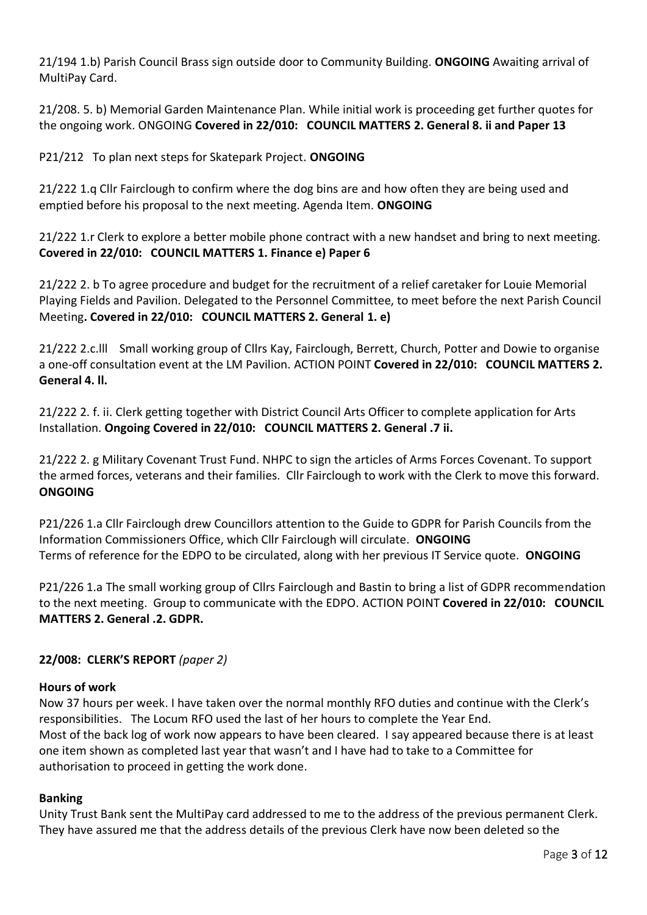21/194 1.b) Parish Council Brass sign outside door to Community Building. **ONGOING** Awaiting arrival of MultiPay Card.

21/208. 5. b) Memorial Garden Maintenance Plan. While initial work is proceeding get further quotes for the ongoing work. ONGOING **Covered in 22/010: COUNCIL MATTERS 2. General 8. ii and Paper 13**

P21/212 To plan next steps for Skatepark Project. **ONGOING**

21/222 1.q Cllr Fairclough to confirm where the dog bins are and how often they are being used and emptied before his proposal to the next meeting. Agenda Item. **ONGOING**

21/222 1.r Clerk to explore a better mobile phone contract with a new handset and bring to next meeting. **Covered in 22/010: COUNCIL MATTERS 1. Finance e) Paper 6**

21/222 2. b To agree procedure and budget for the recruitment of a relief caretaker for Louie Memorial Playing Fields and Pavilion. Delegated to the Personnel Committee, to meet before the next Parish Council Meeting**. Covered in 22/010: COUNCIL MATTERS 2. General 1. e)**

21/222 2.c.lll Small working group of Cllrs Kay, Fairclough, Berrett, Church, Potter and Dowie to organise a one-off consultation event at the LM Pavilion. ACTION POINT **Covered in 22/010: COUNCIL MATTERS 2. General 4. ll.**

21/222 2. f. ii. Clerk getting together with District Council Arts Officer to complete application for Arts Installation. **Ongoing Covered in 22/010: COUNCIL MATTERS 2. General .7 ii.**

21/222 2. g Military Covenant Trust Fund. NHPC to sign the articles of Arms Forces Covenant. To support the armed forces, veterans and their families. Cllr Fairclough to work with the Clerk to move this forward. **ONGOING**

P21/226 1.a Cllr Fairclough drew Councillors attention to the Guide to GDPR for Parish Councils from the Information Commissioners Office, which Cllr Fairclough will circulate. **ONGOING** Terms of reference for the EDPO to be circulated, along with her previous IT Service quote. **ONGOING**

P21/226 1.a The small working group of Cllrs Fairclough and Bastin to bring a list of GDPR recommendation to the next meeting. Group to communicate with the EDPO. ACTION POINT **Covered in 22/010: COUNCIL MATTERS 2. General .2. GDPR.**

## **22/008: CLERK'S REPORT** *(paper 2)*

## **Hours of work**

Now 37 hours per week. I have taken over the normal monthly RFO duties and continue with the Clerk's responsibilities. The Locum RFO used the last of her hours to complete the Year End. Most of the back log of work now appears to have been cleared. I say appeared because there is at least one item shown as completed last year that wasn't and I have had to take to a Committee for authorisation to proceed in getting the work done.

## **Banking**

Unity Trust Bank sent the MultiPay card addressed to me to the address of the previous permanent Clerk. They have assured me that the address details of the previous Clerk have now been deleted so the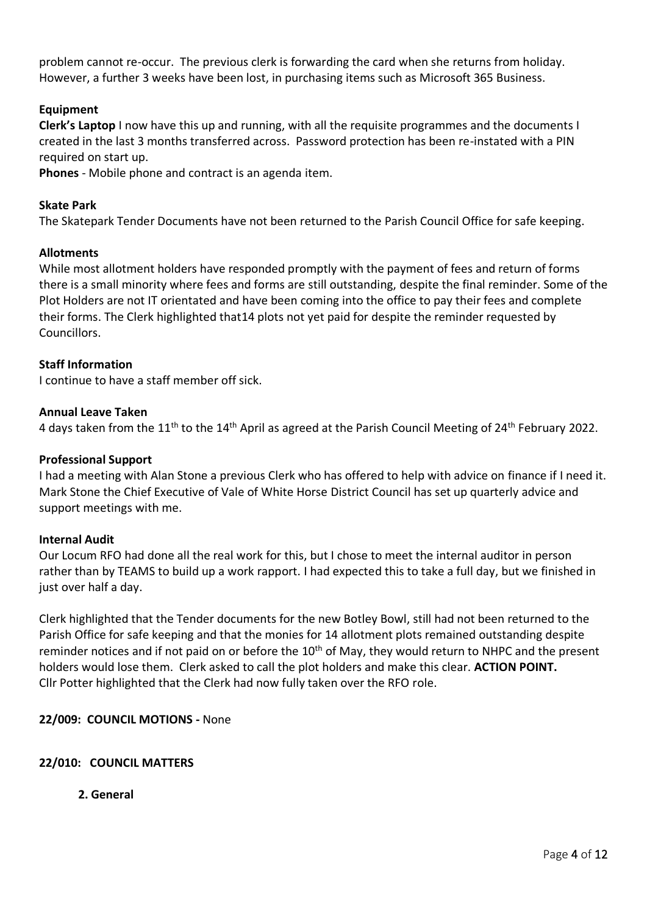problem cannot re-occur. The previous clerk is forwarding the card when she returns from holiday. However, a further 3 weeks have been lost, in purchasing items such as Microsoft 365 Business.

## **Equipment**

**Clerk's Laptop** I now have this up and running, with all the requisite programmes and the documents I created in the last 3 months transferred across. Password protection has been re-instated with a PIN required on start up.

**Phones** - Mobile phone and contract is an agenda item.

#### **Skate Park**

The Skatepark Tender Documents have not been returned to the Parish Council Office for safe keeping.

#### **Allotments**

While most allotment holders have responded promptly with the payment of fees and return of forms there is a small minority where fees and forms are still outstanding, despite the final reminder. Some of the Plot Holders are not IT orientated and have been coming into the office to pay their fees and complete their forms. The Clerk highlighted that14 plots not yet paid for despite the reminder requested by Councillors.

#### **Staff Information**

I continue to have a staff member off sick.

#### **Annual Leave Taken**

4 days taken from the 11<sup>th</sup> to the 14<sup>th</sup> April as agreed at the Parish Council Meeting of 24<sup>th</sup> February 2022.

#### **Professional Support**

I had a meeting with Alan Stone a previous Clerk who has offered to help with advice on finance if I need it. Mark Stone the Chief Executive of Vale of White Horse District Council has set up quarterly advice and support meetings with me.

#### **Internal Audit**

Our Locum RFO had done all the real work for this, but I chose to meet the internal auditor in person rather than by TEAMS to build up a work rapport. I had expected this to take a full day, but we finished in just over half a day.

Clerk highlighted that the Tender documents for the new Botley Bowl, still had not been returned to the Parish Office for safe keeping and that the monies for 14 allotment plots remained outstanding despite reminder notices and if not paid on or before the 10<sup>th</sup> of May, they would return to NHPC and the present holders would lose them. Clerk asked to call the plot holders and make this clear. **ACTION POINT.** Cllr Potter highlighted that the Clerk had now fully taken over the RFO role.

#### **22/009: COUNCIL MOTIONS -** None

#### **22/010: COUNCIL MATTERS**

**2. General**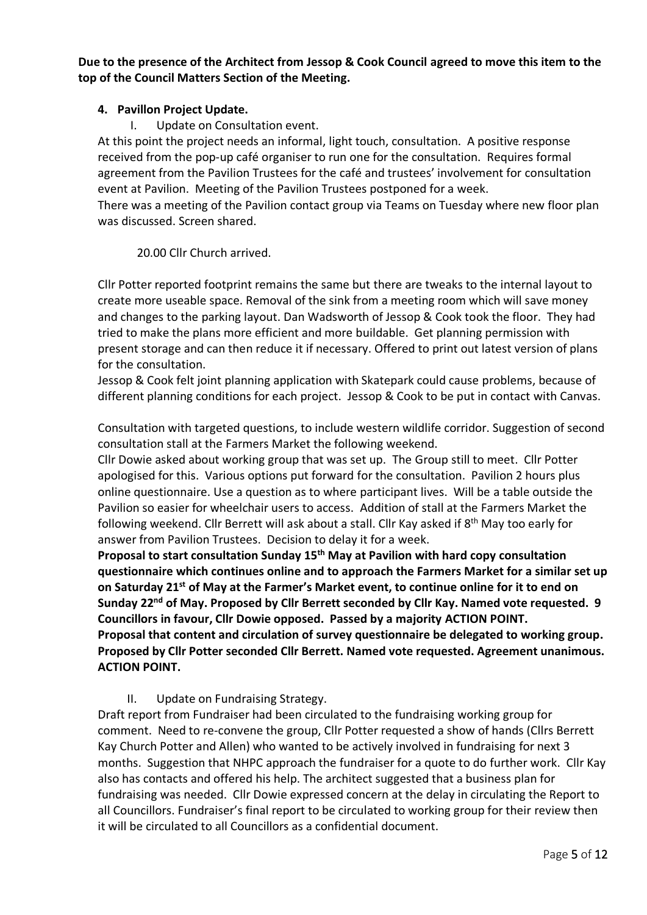**Due to the presence of the Architect from Jessop & Cook Council agreed to move this item to the top of the Council Matters Section of the Meeting.**

## **4. Pavillon Project Update.**

I. Update on Consultation event.

At this point the project needs an informal, light touch, consultation. A positive response received from the pop-up café organiser to run one for the consultation. Requires formal agreement from the Pavilion Trustees for the café and trustees' involvement for consultation event at Pavilion. Meeting of the Pavilion Trustees postponed for a week.

There was a meeting of the Pavilion contact group via Teams on Tuesday where new floor plan was discussed. Screen shared.

#### 20.00 Cllr Church arrived.

Cllr Potter reported footprint remains the same but there are tweaks to the internal layout to create more useable space. Removal of the sink from a meeting room which will save money and changes to the parking layout. Dan Wadsworth of Jessop & Cook took the floor. They had tried to make the plans more efficient and more buildable. Get planning permission with present storage and can then reduce it if necessary. Offered to print out latest version of plans for the consultation.

Jessop & Cook felt joint planning application with Skatepark could cause problems, because of different planning conditions for each project. Jessop & Cook to be put in contact with Canvas.

Consultation with targeted questions, to include western wildlife corridor. Suggestion of second consultation stall at the Farmers Market the following weekend.

Cllr Dowie asked about working group that was set up. The Group still to meet. Cllr Potter apologised for this. Various options put forward for the consultation. Pavilion 2 hours plus online questionnaire. Use a question as to where participant lives. Will be a table outside the Pavilion so easier for wheelchair users to access. Addition of stall at the Farmers Market the following weekend. Cllr Berrett will ask about a stall. Cllr Kay asked if 8<sup>th</sup> May too early for answer from Pavilion Trustees. Decision to delay it for a week.

**Proposal to start consultation Sunday 15th May at Pavilion with hard copy consultation questionnaire which continues online and to approach the Farmers Market for a similar set up on Saturday 21st of May at the Farmer's Market event, to continue online for it to end on Sunday 22nd of May. Proposed by Cllr Berrett seconded by Cllr Kay. Named vote requested. 9 Councillors in favour, Cllr Dowie opposed. Passed by a majority ACTION POINT.**

**Proposal that content and circulation of survey questionnaire be delegated to working group. Proposed by Cllr Potter seconded Cllr Berrett. Named vote requested. Agreement unanimous. ACTION POINT.**

II. Update on Fundraising Strategy.

Draft report from Fundraiser had been circulated to the fundraising working group for comment. Need to re-convene the group, Cllr Potter requested a show of hands (Cllrs Berrett Kay Church Potter and Allen) who wanted to be actively involved in fundraising for next 3 months. Suggestion that NHPC approach the fundraiser for a quote to do further work. Cllr Kay also has contacts and offered his help. The architect suggested that a business plan for fundraising was needed. Cllr Dowie expressed concern at the delay in circulating the Report to all Councillors. Fundraiser's final report to be circulated to working group for their review then it will be circulated to all Councillors as a confidential document.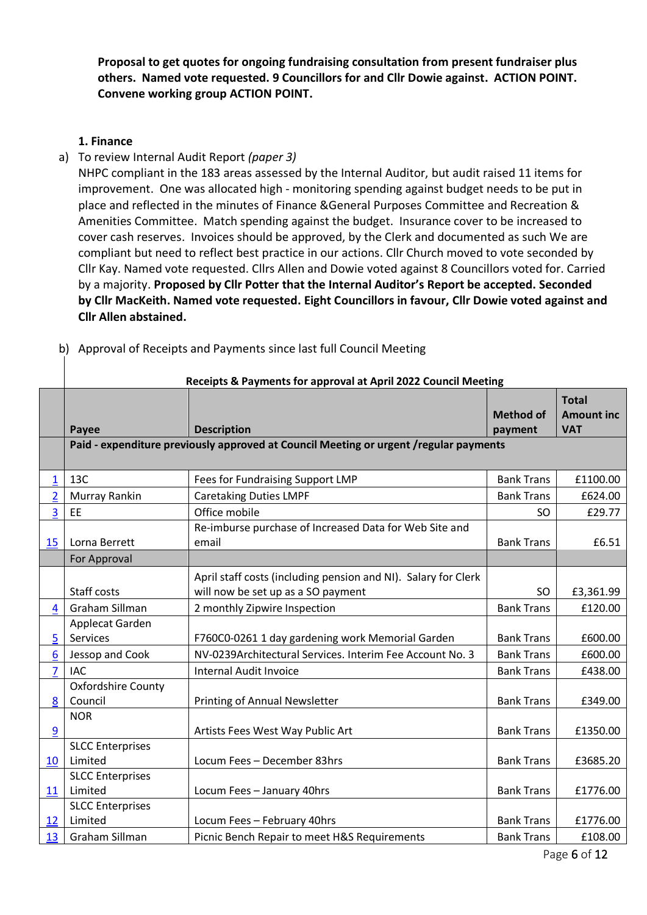**Proposal to get quotes for ongoing fundraising consultation from present fundraiser plus others. Named vote requested. 9 Councillors for and Cllr Dowie against. ACTION POINT. Convene working group ACTION POINT.**

## **1. Finance**

a) To review Internal Audit Report *(paper 3)*

NHPC compliant in the 183 areas assessed by the Internal Auditor, but audit raised 11 items for improvement. One was allocated high - monitoring spending against budget needs to be put in place and reflected in the minutes of Finance &General Purposes Committee and Recreation & Amenities Committee. Match spending against the budget. Insurance cover to be increased to cover cash reserves. Invoices should be approved, by the Clerk and documented as such We are compliant but need to reflect best practice in our actions. Cllr Church moved to vote seconded by Cllr Kay. Named vote requested. Cllrs Allen and Dowie voted against 8 Councillors voted for. Carried by a majority. **Proposed by Cllr Potter that the Internal Auditor's Report be accepted. Seconded by Cllr MacKeith. Named vote requested. Eight Councillors in favour, Cllr Dowie voted against and Cllr Allen abstained.**

|                | Receipts & Payments for approval at April 2022 Council Meeting                        |                                                                                                      |                             |                                                 |  |  |  |
|----------------|---------------------------------------------------------------------------------------|------------------------------------------------------------------------------------------------------|-----------------------------|-------------------------------------------------|--|--|--|
|                | Payee                                                                                 | <b>Description</b>                                                                                   | <b>Method of</b><br>payment | <b>Total</b><br><b>Amount inc</b><br><b>VAT</b> |  |  |  |
|                | Paid - expenditure previously approved at Council Meeting or urgent /regular payments |                                                                                                      |                             |                                                 |  |  |  |
| 1              | 13C                                                                                   | Fees for Fundraising Support LMP                                                                     | <b>Bank Trans</b>           | £1100.00                                        |  |  |  |
| $\overline{2}$ | Murray Rankin                                                                         | <b>Caretaking Duties LMPF</b>                                                                        | <b>Bank Trans</b>           | £624.00                                         |  |  |  |
| 3              | EE                                                                                    | Office mobile                                                                                        | <b>SO</b>                   | £29.77                                          |  |  |  |
| 15             | Lorna Berrett                                                                         | Re-imburse purchase of Increased Data for Web Site and<br>email                                      | <b>Bank Trans</b>           | £6.51                                           |  |  |  |
|                | For Approval                                                                          |                                                                                                      |                             |                                                 |  |  |  |
|                | Staff costs                                                                           | April staff costs (including pension and NI). Salary for Clerk<br>will now be set up as a SO payment | <b>SO</b>                   | £3,361.99                                       |  |  |  |
| $\overline{4}$ | Graham Sillman                                                                        | 2 monthly Zipwire Inspection                                                                         | <b>Bank Trans</b>           | £120.00                                         |  |  |  |
| 5              | Applecat Garden<br>Services                                                           | F760C0-0261 1 day gardening work Memorial Garden                                                     | <b>Bank Trans</b>           | £600.00                                         |  |  |  |
| $6\phantom{1}$ | Jessop and Cook                                                                       | NV-0239Architectural Services. Interim Fee Account No. 3                                             | <b>Bank Trans</b>           | £600.00                                         |  |  |  |
| $\overline{7}$ | <b>IAC</b>                                                                            | <b>Internal Audit Invoice</b>                                                                        | <b>Bank Trans</b>           | £438.00                                         |  |  |  |
| 8              | <b>Oxfordshire County</b><br>Council                                                  | Printing of Annual Newsletter                                                                        | <b>Bank Trans</b>           | £349.00                                         |  |  |  |
| 9              | <b>NOR</b>                                                                            | Artists Fees West Way Public Art                                                                     | <b>Bank Trans</b>           | £1350.00                                        |  |  |  |
| 10             | <b>SLCC Enterprises</b><br>Limited                                                    | Locum Fees - December 83hrs                                                                          | <b>Bank Trans</b>           | £3685.20                                        |  |  |  |
| 11             | <b>SLCC Enterprises</b><br>Limited                                                    | Locum Fees - January 40hrs                                                                           | <b>Bank Trans</b>           | £1776.00                                        |  |  |  |
| 12             | <b>SLCC Enterprises</b><br>Limited                                                    | Locum Fees - February 40hrs                                                                          | <b>Bank Trans</b>           | £1776.00                                        |  |  |  |
| 13             | Graham Sillman                                                                        | Picnic Bench Repair to meet H&S Requirements                                                         | <b>Bank Trans</b>           | £108.00                                         |  |  |  |

b) Approval of Receipts and Payments since last full Council Meeting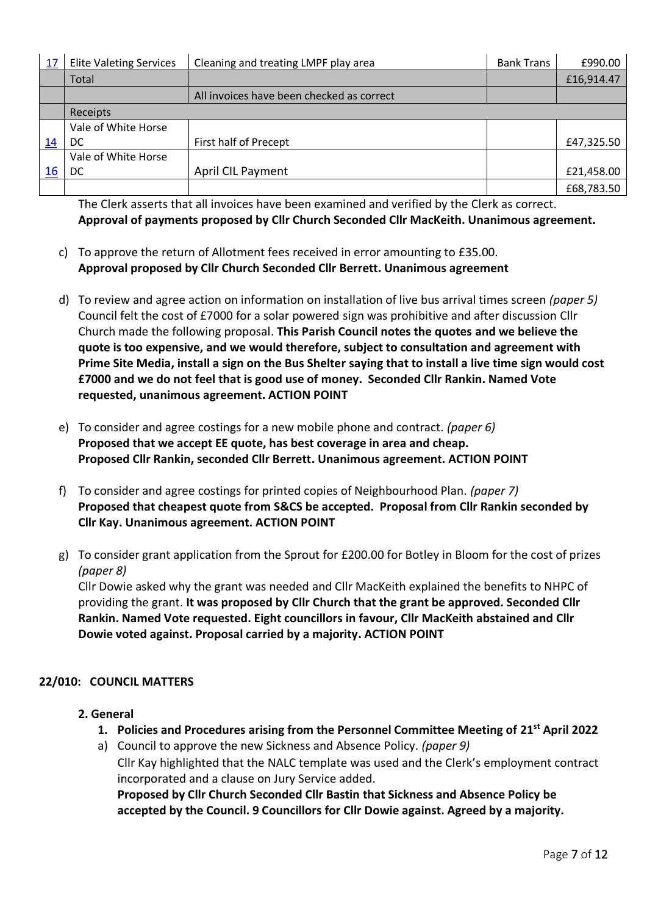| 17 | <b>Elite Valeting Services</b> | Cleaning and treating LMPF play area      | <b>Bank Trans</b> | £990.00    |
|----|--------------------------------|-------------------------------------------|-------------------|------------|
|    | Total                          |                                           |                   | £16,914.47 |
|    |                                | All invoices have been checked as correct |                   |            |
|    | Receipts                       |                                           |                   |            |
|    | Vale of White Horse            |                                           |                   |            |
| 14 | DC                             | First half of Precept                     |                   | £47,325.50 |
|    | Vale of White Horse            |                                           |                   |            |
| 16 | DC                             | April CIL Payment                         |                   | £21,458.00 |
|    |                                |                                           |                   | £68,783.50 |

The Clerk asserts that all invoices have been examined and verified by the Clerk as correct. **Approval of payments proposed by Cllr Church Seconded Cllr MacKeith. Unanimous agreement.** 

- c) To approve the return of Allotment fees received in error amounting to £35.00. **Approval proposed by Cllr Church Seconded Cllr Berrett. Unanimous agreement**
- d) To review and agree action on information on installation of live bus arrival times screen *(paper 5)* Council felt the cost of £7000 for a solar powered sign was prohibitive and after discussion Cllr Church made the following proposal. **This Parish Council notes the quotes and we believe the quote is too expensive, and we would therefore, subject to consultation and agreement with Prime Site Media, install a sign on the Bus Shelter saying that to install a live time sign would cost £7000 and we do not feel that is good use of money. Seconded Cllr Rankin. Named Vote requested, unanimous agreement. ACTION POINT**
- e) To consider and agree costings for a new mobile phone and contract. *(paper 6)* **Proposed that we accept EE quote, has best coverage in area and cheap. Proposed Cllr Rankin, seconded Cllr Berrett. Unanimous agreement. ACTION POINT**
- f) To consider and agree costings for printed copies of Neighbourhood Plan. *(paper 7)*  **Proposed that cheapest quote from S&CS be accepted. Proposal from Cllr Rankin seconded by Cllr Kay. Unanimous agreement. ACTION POINT**
- g) To consider grant application from the Sprout for £200.00 for Botley in Bloom for the cost of prizes *(paper 8)*

Cllr Dowie asked why the grant was needed and Cllr MacKeith explained the benefits to NHPC of providing the grant. **It was proposed by Cllr Church that the grant be approved. Seconded Cllr Rankin. Named Vote requested. Eight councillors in favour, Cllr MacKeith abstained and Cllr Dowie voted against. Proposal carried by a majority. ACTION POINT**

## **22/010: COUNCIL MATTERS**

- **2. General** 
	- **1. Policies and Procedures arising from the Personnel Committee Meeting of 21st April 2022**
	- a) Council to approve the new Sickness and Absence Policy. *(paper 9)* Cllr Kay highlighted that the NALC template was used and the Clerk's employment contract incorporated and a clause on Jury Service added.

**Proposed by Cllr Church Seconded Cllr Bastin that Sickness and Absence Policy be accepted by the Council. 9 Councillors for Cllr Dowie against. Agreed by a majority.**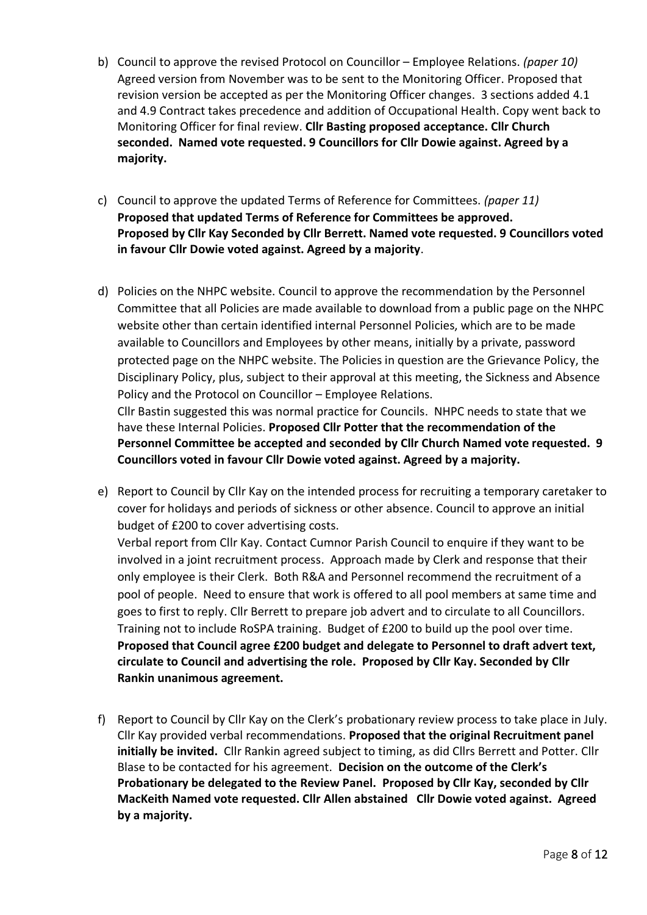- b) Council to approve the revised Protocol on Councillor Employee Relations. *(paper 10)* Agreed version from November was to be sent to the Monitoring Officer. Proposed that revision version be accepted as per the Monitoring Officer changes. 3 sections added 4.1 and 4.9 Contract takes precedence and addition of Occupational Health. Copy went back to Monitoring Officer for final review. **Cllr Basting proposed acceptance. Cllr Church seconded. Named vote requested. 9 Councillors for Cllr Dowie against. Agreed by a majority.**
- c) Council to approve the updated Terms of Reference for Committees. *(paper 11)* **Proposed that updated Terms of Reference for Committees be approved. Proposed by Cllr Kay Seconded by Cllr Berrett. Named vote requested. 9 Councillors voted in favour Cllr Dowie voted against. Agreed by a majority**.
- d) Policies on the NHPC website. Council to approve the recommendation by the Personnel Committee that all Policies are made available to download from a public page on the NHPC website other than certain identified internal Personnel Policies, which are to be made available to Councillors and Employees by other means, initially by a private, password protected page on the NHPC website. The Policies in question are the Grievance Policy, the Disciplinary Policy, plus, subject to their approval at this meeting, the Sickness and Absence Policy and the Protocol on Councillor – Employee Relations. Cllr Bastin suggested this was normal practice for Councils. NHPC needs to state that we

have these Internal Policies. **Proposed Cllr Potter that the recommendation of the Personnel Committee be accepted and seconded by Cllr Church Named vote requested. 9 Councillors voted in favour Cllr Dowie voted against. Agreed by a majority.**

e) Report to Council by Cllr Kay on the intended process for recruiting a temporary caretaker to cover for holidays and periods of sickness or other absence. Council to approve an initial budget of £200 to cover advertising costs.

Verbal report from Cllr Kay. Contact Cumnor Parish Council to enquire if they want to be involved in a joint recruitment process. Approach made by Clerk and response that their only employee is their Clerk. Both R&A and Personnel recommend the recruitment of a pool of people. Need to ensure that work is offered to all pool members at same time and goes to first to reply. Cllr Berrett to prepare job advert and to circulate to all Councillors. Training not to include RoSPA training. Budget of £200 to build up the pool over time. **Proposed that Council agree £200 budget and delegate to Personnel to draft advert text, circulate to Council and advertising the role. Proposed by Cllr Kay. Seconded by Cllr Rankin unanimous agreement.** 

f) Report to Council by Cllr Kay on the Clerk's probationary review process to take place in July. Cllr Kay provided verbal recommendations. **Proposed that the original Recruitment panel initially be invited.** Cllr Rankin agreed subject to timing, as did Cllrs Berrett and Potter. Cllr Blase to be contacted for his agreement. **Decision on the outcome of the Clerk's Probationary be delegated to the Review Panel. Proposed by Cllr Kay, seconded by Cllr MacKeith Named vote requested. Cllr Allen abstained Cllr Dowie voted against. Agreed by a majority.**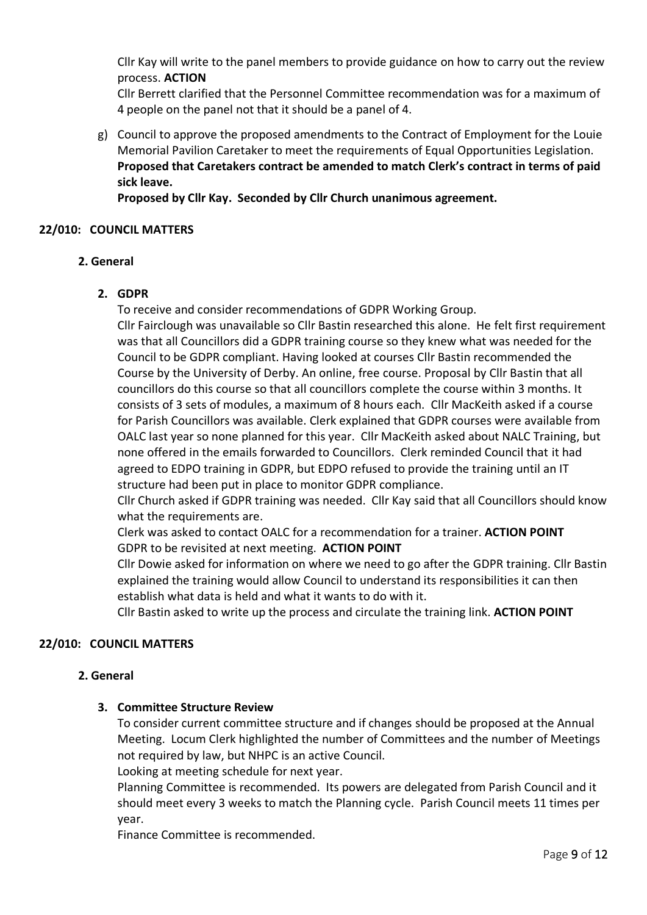Cllr Kay will write to the panel members to provide guidance on how to carry out the review process. **ACTION**

Cllr Berrett clarified that the Personnel Committee recommendation was for a maximum of 4 people on the panel not that it should be a panel of 4.

g) Council to approve the proposed amendments to the Contract of Employment for the Louie Memorial Pavilion Caretaker to meet the requirements of Equal Opportunities Legislation. **Proposed that Caretakers contract be amended to match Clerk's contract in terms of paid sick leave.** 

**Proposed by Cllr Kay. Seconded by Cllr Church unanimous agreement.** 

### **22/010: COUNCIL MATTERS**

#### **2. General**

## **2. GDPR**

To receive and consider recommendations of GDPR Working Group.

Cllr Fairclough was unavailable so Cllr Bastin researched this alone. He felt first requirement was that all Councillors did a GDPR training course so they knew what was needed for the Council to be GDPR compliant. Having looked at courses Cllr Bastin recommended the Course by the University of Derby. An online, free course. Proposal by Cllr Bastin that all councillors do this course so that all councillors complete the course within 3 months. It consists of 3 sets of modules, a maximum of 8 hours each. Cllr MacKeith asked if a course for Parish Councillors was available. Clerk explained that GDPR courses were available from OALC last year so none planned for this year. Cllr MacKeith asked about NALC Training, but none offered in the emails forwarded to Councillors. Clerk reminded Council that it had agreed to EDPO training in GDPR, but EDPO refused to provide the training until an IT structure had been put in place to monitor GDPR compliance.

Cllr Church asked if GDPR training was needed. Cllr Kay said that all Councillors should know what the requirements are.

Clerk was asked to contact OALC for a recommendation for a trainer. **ACTION POINT** GDPR to be revisited at next meeting. **ACTION POINT**

Cllr Dowie asked for information on where we need to go after the GDPR training. Cllr Bastin explained the training would allow Council to understand its responsibilities it can then establish what data is held and what it wants to do with it.

Cllr Bastin asked to write up the process and circulate the training link. **ACTION POINT**

## **22/010: COUNCIL MATTERS**

#### **2. General**

#### **3. Committee Structure Review**

To consider current committee structure and if changes should be proposed at the Annual Meeting. Locum Clerk highlighted the number of Committees and the number of Meetings not required by law, but NHPC is an active Council.

Looking at meeting schedule for next year.

Planning Committee is recommended. Its powers are delegated from Parish Council and it should meet every 3 weeks to match the Planning cycle. Parish Council meets 11 times per year.

Finance Committee is recommended.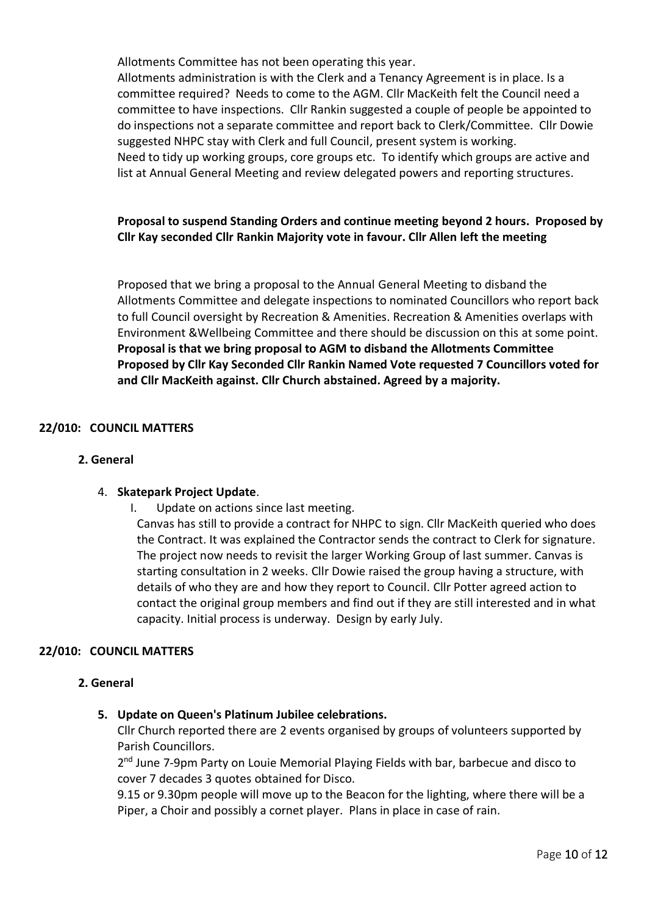Allotments Committee has not been operating this year.

Allotments administration is with the Clerk and a Tenancy Agreement is in place. Is a committee required? Needs to come to the AGM. Cllr MacKeith felt the Council need a committee to have inspections. Cllr Rankin suggested a couple of people be appointed to do inspections not a separate committee and report back to Clerk/Committee. Cllr Dowie suggested NHPC stay with Clerk and full Council, present system is working. Need to tidy up working groups, core groups etc. To identify which groups are active and list at Annual General Meeting and review delegated powers and reporting structures.

## **Proposal to suspend Standing Orders and continue meeting beyond 2 hours. Proposed by Cllr Kay seconded Cllr Rankin Majority vote in favour. Cllr Allen left the meeting**

Proposed that we bring a proposal to the Annual General Meeting to disband the Allotments Committee and delegate inspections to nominated Councillors who report back to full Council oversight by Recreation & Amenities. Recreation & Amenities overlaps with Environment &Wellbeing Committee and there should be discussion on this at some point. **Proposal is that we bring proposal to AGM to disband the Allotments Committee Proposed by Cllr Kay Seconded Cllr Rankin Named Vote requested 7 Councillors voted for and Cllr MacKeith against. Cllr Church abstained. Agreed by a majority.** 

#### **22/010: COUNCIL MATTERS**

#### **2. General**

#### 4. **Skatepark Project Update**.

I. Update on actions since last meeting.

Canvas has still to provide a contract for NHPC to sign. Cllr MacKeith queried who does the Contract. It was explained the Contractor sends the contract to Clerk for signature. The project now needs to revisit the larger Working Group of last summer. Canvas is starting consultation in 2 weeks. Cllr Dowie raised the group having a structure, with details of who they are and how they report to Council. Cllr Potter agreed action to contact the original group members and find out if they are still interested and in what capacity. Initial process is underway. Design by early July.

#### **22/010: COUNCIL MATTERS**

#### **2. General**

#### **5. Update on Queen's Platinum Jubilee celebrations.**

Cllr Church reported there are 2 events organised by groups of volunteers supported by Parish Councillors.

2<sup>nd</sup> June 7-9pm Party on Louie Memorial Playing Fields with bar, barbecue and disco to cover 7 decades 3 quotes obtained for Disco.

9.15 or 9.30pm people will move up to the Beacon for the lighting, where there will be a Piper, a Choir and possibly a cornet player. Plans in place in case of rain.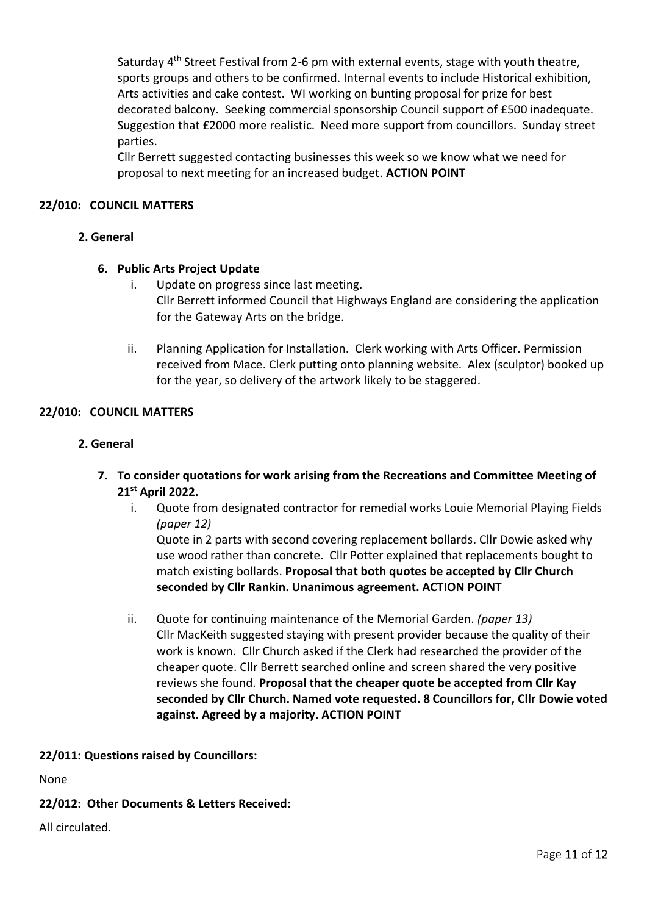Saturday 4<sup>th</sup> Street Festival from 2-6 pm with external events, stage with youth theatre, sports groups and others to be confirmed. Internal events to include Historical exhibition, Arts activities and cake contest. WI working on bunting proposal for prize for best decorated balcony. Seeking commercial sponsorship Council support of £500 inadequate. Suggestion that £2000 more realistic. Need more support from councillors. Sunday street parties.

Cllr Berrett suggested contacting businesses this week so we know what we need for proposal to next meeting for an increased budget. **ACTION POINT**

### **22/010: COUNCIL MATTERS**

## **2. General**

#### **6. Public Arts Project Update**

- i. Update on progress since last meeting. Cllr Berrett informed Council that Highways England are considering the application for the Gateway Arts on the bridge.
- ii. Planning Application for Installation. Clerk working with Arts Officer. Permission received from Mace. Clerk putting onto planning website. Alex (sculptor) booked up for the year, so delivery of the artwork likely to be staggered.

#### **22/010: COUNCIL MATTERS**

#### **2. General**

- **7. To consider quotations for work arising from the Recreations and Committee Meeting of 21st April 2022.**
	- i. Quote from designated contractor for remedial works Louie Memorial Playing Fields *(paper 12)*

Quote in 2 parts with second covering replacement bollards. Cllr Dowie asked why use wood rather than concrete. Cllr Potter explained that replacements bought to match existing bollards. **Proposal that both quotes be accepted by Cllr Church seconded by Cllr Rankin. Unanimous agreement. ACTION POINT**

ii. Quote for continuing maintenance of the Memorial Garden. *(paper 13)* Cllr MacKeith suggested staying with present provider because the quality of their work is known. Cllr Church asked if the Clerk had researched the provider of the cheaper quote. Cllr Berrett searched online and screen shared the very positive reviews she found. **Proposal that the cheaper quote be accepted from Cllr Kay seconded by Cllr Church. Named vote requested. 8 Councillors for, Cllr Dowie voted against. Agreed by a majority. ACTION POINT**

#### **22/011: Questions raised by Councillors:**

None

## **22/012: Other Documents & Letters Received:**

All circulated.